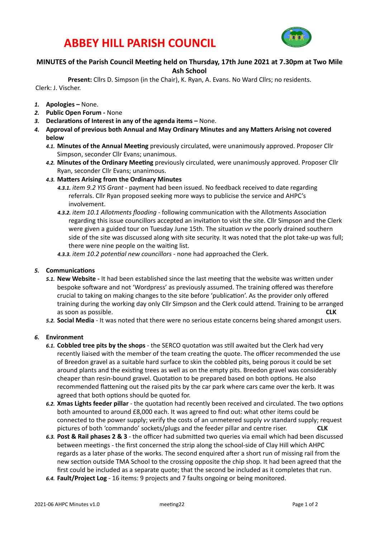# **ABBEY HILL PARISH COUNCIL**



#### **MINUTES of the Parish Council Meeting held on Thursday, 17th June 2021 at 7.30pm at Two Mile Ash School**

Present: Cllrs D. Simpson (in the Chair), K. Ryan, A. Evans. No Ward Cllrs; no residents. Clerk: J. Vischer. 

- 1. **Apologies** None.
- 2. **Public Open Forum None**
- 3. **Declarations of Interest in any of the agenda items None.**
- 4. Approval of previous both Annual and May Ordinary Minutes and any Matters Arising not covered **below** 
	- 4.1. Minutes of the Annual Meeting previously circulated, were unanimously approved. Proposer Cllr Simpson, seconder Cllr Evans; unanimous.
	- 4.2. Minutes of the Ordinary Meeting previously circulated, were unanimously approved. Proposer Cllr Ryan, seconder Cllr Evans; unanimous.
	- 4.3. Matters Arising from the Ordinary Minutes
		- 4.3.1. *item 9.2 YIS Grant* payment had been issued. No feedback received to date regarding referrals. Cllr Ryan proposed seeking more ways to publicise the service and AHPC's involvement.
		- 4.3.2. *item* 10.1 Allotments flooding following communication with the Allotments Association regarding this issue councillors accepted an invitation to visit the site. Cllr Simpson and the Clerk were given a guided tour on Tuesday June 15th. The situation vv the poorly drained southern side of the site was discussed along with site security. It was noted that the plot take-up was full; there were nine people on the waiting list.
		- 4.3.3. *item* 10.2 potential new councillors none had approached the Clerk.

#### **5.** Communications

- 5.1. New Website It had been established since the last meeting that the website was written under bespoke software and not 'Wordpress' as previously assumed. The training offered was therefore crucial to taking on making changes to the site before 'publication'. As the provider only offered training during the working day only Cllr Simpson and the Clerk could attend. Training to be arranged as soon as possible. **CLK**
- 5.2. Social Media It was noted that there were no serious estate concerns being shared amongst users.

#### 6. **Environment**

- 6.1. Cobbled tree pits by the shops the SERCO quotation was still awaited but the Clerk had very recently liaised with the member of the team creating the quote. The officer recommended the use of Breedon gravel as a suitable hard surface to skin the cobbled pits, being porous it could be set around plants and the existing trees as well as on the empty pits. Breedon gravel was considerably cheaper than resin-bound gravel. Quotation to be prepared based on both options. He also recommended flattening out the raised pits by the car park where cars came over the kerb. It was agreed that both options should be quoted for.
- 6.2. **Xmas Lights feeder pillar** the quotation had recently been received and circulated. The two options both amounted to around £8,000 each. It was agreed to find out: what other items could be connected to the power supply; verify the costs of an unmetered supply vv standard supply; request pictures of both 'commando' sockets/plugs and the feeder pillar and centre riser. **CLK**
- 6.3. Post & Rail phases 2 & 3 the officer had submitted two queries via email which had been discussed between meetings - the first concerned the strip along the school-side of Clay Hill which AHPC regards as a later phase of the works. The second enquired after a short run of missing rail from the new section outside TMA School to the crossing opposite the chip shop. It had been agreed that the first could be included as a separate quote; that the second be included as it completes that run.
- 6.4. **Fault/Project Log** 16 items: 9 projects and 7 faults ongoing or being monitored.